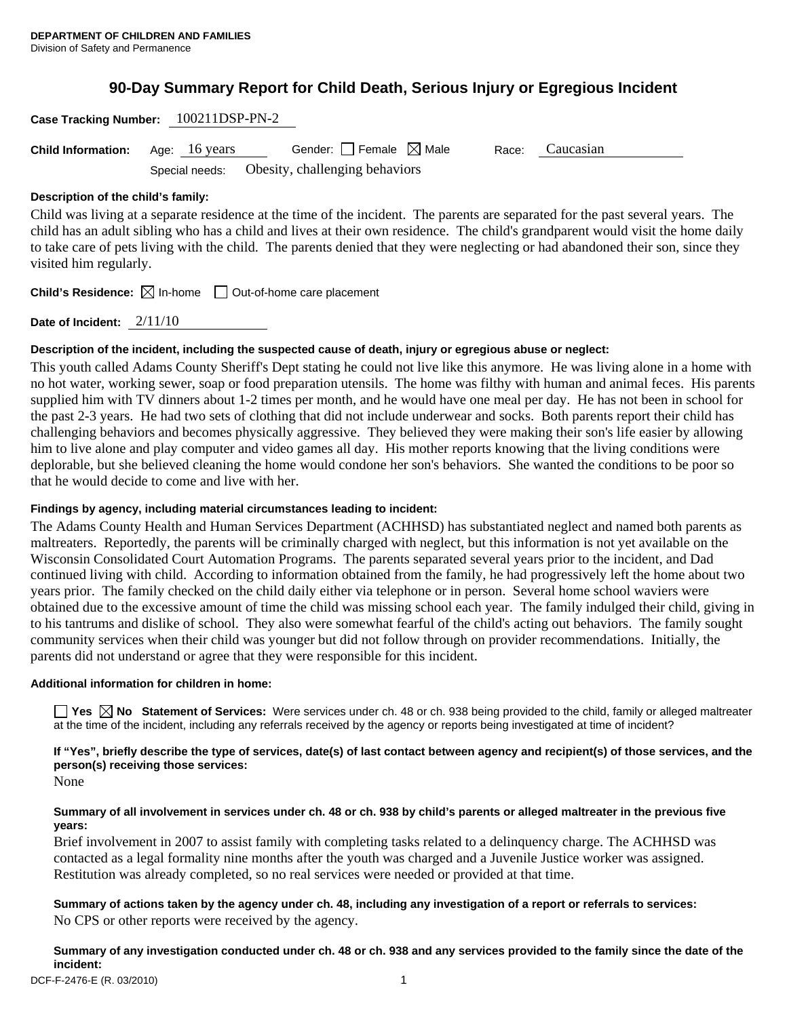# **90-Day Summary Report for Child Death, Serious Injury or Egregious Incident**

| Case Tracking Number: 100211DSP-PN-2 |               |                                               |       |           |  |
|--------------------------------------|---------------|-----------------------------------------------|-------|-----------|--|
| <b>Child Information:</b>            | Age: 16 years | Gender: $ $ Female $\bowtie$ Male             | Race: | Caucasian |  |
|                                      |               | Special needs: Obesity, challenging behaviors |       |           |  |
| Desarintian of the abild's family.   |               |                                               |       |           |  |

#### **Description of the child's family:**

Child was living at a separate residence at the time of the incident. The parents are separated for the past several years. The child has an adult sibling who has a child and lives at their own residence. The child's grandparent would visit the home daily to take care of pets living with the child. The parents denied that they were neglecting or had abandoned their son, since they visited him regularly.

**Child's Residence:**  $\boxtimes$  In-home  $\Box$  Out-of-home care placement

**Date of Incident:** 2/11/10

## **Description of the incident, including the suspected cause of death, injury or egregious abuse or neglect:**

This youth called Adams County Sheriff's Dept stating he could not live like this anymore. He was living alone in a home with no hot water, working sewer, soap or food preparation utensils. The home was filthy with human and animal feces. His parents supplied him with TV dinners about 1-2 times per month, and he would have one meal per day. He has not been in school for the past 2-3 years. He had two sets of clothing that did not include underwear and socks. Both parents report their child has challenging behaviors and becomes physically aggressive. They believed they were making their son's life easier by allowing him to live alone and play computer and video games all day. His mother reports knowing that the living conditions were deplorable, but she believed cleaning the home would condone her son's behaviors. She wanted the conditions to be poor so that he would decide to come and live with her.

## **Findings by agency, including material circumstances leading to incident:**

The Adams County Health and Human Services Department (ACHHSD) has substantiated neglect and named both parents as maltreaters. Reportedly, the parents will be criminally charged with neglect, but this information is not yet available on the Wisconsin Consolidated Court Automation Programs. The parents separated several years prior to the incident, and Dad continued living with child. According to information obtained from the family, he had progressively left the home about two years prior. The family checked on the child daily either via telephone or in person. Several home school waviers were obtained due to the excessive amount of time the child was missing school each year. The family indulged their child, giving in to his tantrums and dislike of school. They also were somewhat fearful of the child's acting out behaviors. The family sought community services when their child was younger but did not follow through on provider recommendations. Initially, the parents did not understand or agree that they were responsible for this incident.

## **Additional information for children in home:**

**Yes No Statement of Services:** Were services under ch. 48 or ch. 938 being provided to the child, family or alleged maltreater at the time of the incident, including any referrals received by the agency or reports being investigated at time of incident?

**If "Yes", briefly describe the type of services, date(s) of last contact between agency and recipient(s) of those services, and the person(s) receiving those services:** 

None

## **Summary of all involvement in services under ch. 48 or ch. 938 by child's parents or alleged maltreater in the previous five years:**

Brief involvement in 2007 to assist family with completing tasks related to a delinquency charge. The ACHHSD was contacted as a legal formality nine months after the youth was charged and a Juvenile Justice worker was assigned. Restitution was already completed, so no real services were needed or provided at that time.

**Summary of actions taken by the agency under ch. 48, including any investigation of a report or referrals to services:**  No CPS or other reports were received by the agency.

**Summary of any investigation conducted under ch. 48 or ch. 938 and any services provided to the family since the date of the incident:**